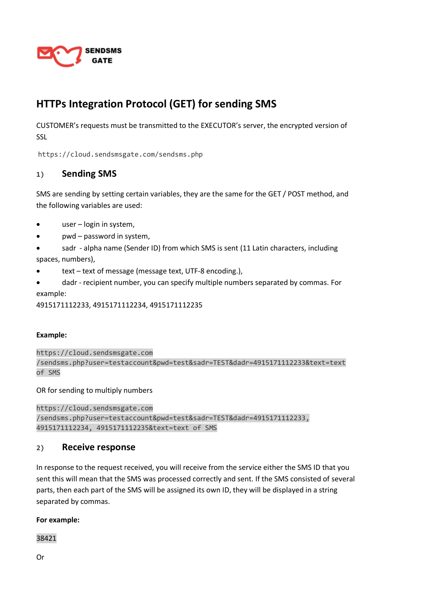

# **HTTPs Integration Protocol (GET) for sending SMS**

CUSTOMER's requests must be transmitted to the EXECUTOR's server, the encrypted version of SSL

https://cloud.sendsmsgate.com/sendsms.php

# **1) Sending SMS**

SMS are sending by setting certain variables, they are the same for the GET / POST method, and the following variables are used:

- user login in system,
- pwd password in system,
- sadr alpha name (Sender ID) from which SMS is sent (11 Latin characters, including spaces, numbers),
- text text of message (message text, UTF-8 encoding.),
- dadr recipient number, you can specify multiple numbers separated by commas. For example:

4915171112233, 4915171112234, 4915171112235

### **Example:**

https://cloud.sendsmsgate.com /sendsms.php?user=testaccount&pwd=test&sadr=TEST&dadr=4915171112233&text=text of SMS

OR for sending to multiply numbers

https://cloud.sendsmsgate.com /sendsms.php?user=testaccount&pwd=test&sadr=TEST&dadr=4915171112233, 4915171112234, 4915171112235&text=text of SMS

## **2) Receive response**

In response to the request received, you will receive from the service either the SMS ID that you sent this will mean that the SMS was processed correctly and sent. If the SMS consisted of several parts, then each part of the SMS will be assigned its own ID, they will be displayed in a string separated by commas.

**For example:**

38421

Or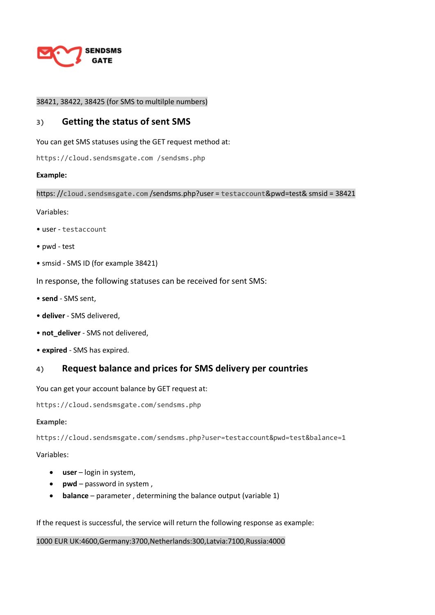

## 38421, 38422, 38425 (for SMS to multilple numbers)

## **3) Getting the status of sent SMS**

You can get SMS statuses using the GET request method at:

https://cloud.sendsmsgate.com /sendsms.php

#### **Example:**

https://cloud.sendsmsgate.com/sendsms.php?user = testaccount&pwd=test& smsid = 38421

Variables:

- user testaccount
- pwd test
- smsid SMS ID (for example 38421)

In response, the following statuses can be received for sent SMS:

- **send** SMS sent,
- **deliver** SMS delivered,
- **not\_deliver** SMS not delivered,
- **expired** SMS has expired.

# **4) Request balance and prices for SMS delivery per countries**

You can get your account balance by GET request at:

https://cloud.sendsmsgate.com/sendsms.php

#### **Example:**

https://cloud.sendsmsgate.com/sendsms.php?user=testaccount&pwd=test&balance=1

### Variables:

- **user** login in system,
- **pwd** password in system ,
- **balance** parameter , determining the balance output (variable 1)

If the request is successful, the service will return the following response as example:

#### 1000 EUR UK:4600,Germany:3700,Netherlands:300,Latvia:7100,Russia:4000